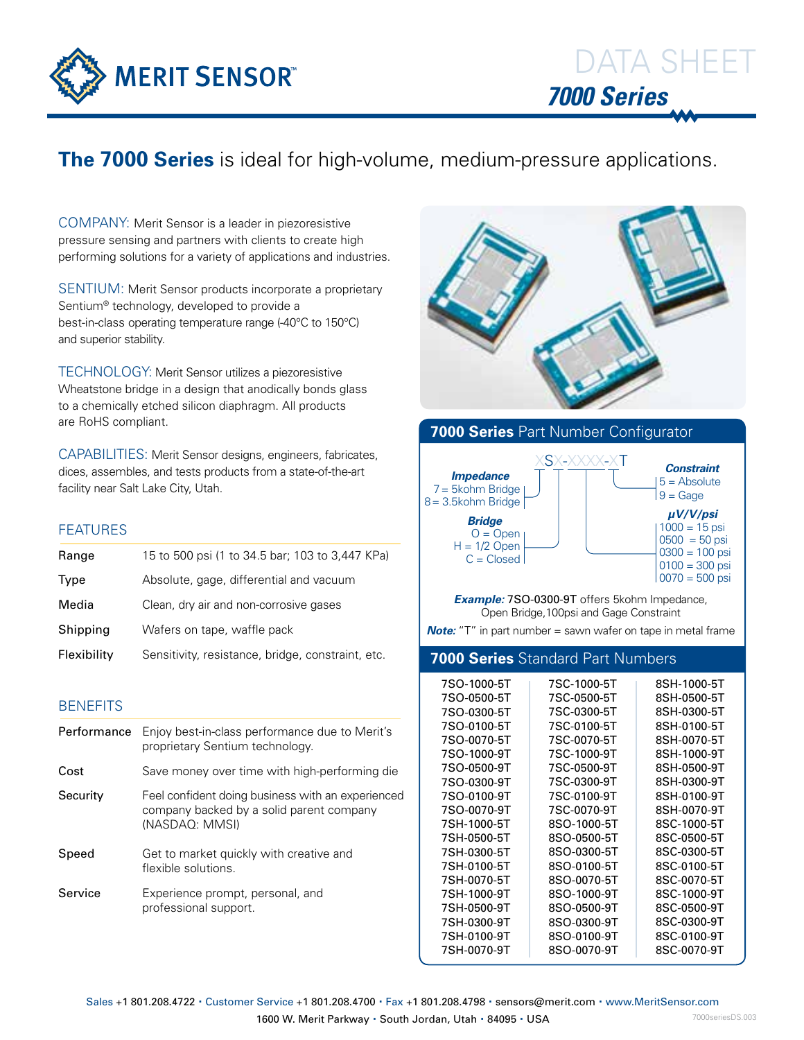

## **The 7000 Series** is ideal for high-volume, medium-pressure applications.

COMPANY: Merit Sensor is a leader in piezoresistive pressure sensing and partners with clients to create high performing solutions for a variety of applications and industries.

SENTIUM: Merit Sensor products incorporate a proprietary Sentium® technology, developed to provide a best-in-class operating temperature range (-40°C to 150°C) and superior stability.

TECHNOLOGY: Merit Sensor utilizes a piezoresistive Wheatstone bridge in a design that anodically bonds glass to a chemically etched silicon diaphragm. All products are RoHS compliant.

CAPABILITIES: Merit Sensor designs, engineers, fabricates, dices, assembles, and tests products from a state-of-the-art facility near Salt Lake City, Utah.

### FEATURES

| Range       | 15 to 500 psi (1 to 34.5 bar; 103 to 3,447 KPa)   |
|-------------|---------------------------------------------------|
| Type        | Absolute, gage, differential and vacuum           |
| Media       | Clean, dry air and non-corrosive gases            |
| Shipping    | Wafers on tape, waffle pack                       |
| Flexibility | Sensitivity, resistance, bridge, constraint, etc. |

### **BENEFITS**

| Performance | Enjoy best-in-class performance due to Merit's<br>proprietary Sentium technology.                               |
|-------------|-----------------------------------------------------------------------------------------------------------------|
| Cost        | Save money over time with high-performing die                                                                   |
| Security    | Feel confident doing business with an experienced<br>company backed by a solid parent company<br>(NASDAQ: MMSI) |
| Speed       | Get to market quickly with creative and<br>flexible solutions.                                                  |
| Service     | Experience prompt, personal, and<br>professional support.                                                       |





*Example:* 7SO-0300-9T offers 5kohm Impedance, Open Bridge,100psi and Gage Constraint

*Note:* "T" in part number = sawn wafer on tape in metal frame

### **7000 Series** Standard Part Numbers

| 7SO-1000-5T | 7SC-1000-5T | 8SH-1000-5T |
|-------------|-------------|-------------|
| 7SO-0500-5T | 7SC-0500-5T | 8SH-0500-5T |
| 7SO-0300-5T | 7SC-0300-5T | 8SH-0300-5T |
| 7SO-0100-5T | 7SC-0100-5T | 8SH-0100-5T |
| 7SO-0070-5T | 7SC-0070-5T | 8SH-0070-5T |
| 7SO-1000-9T | 7SC-1000-9T | 8SH-1000-9T |
| 7SO-0500-9T | 7SC-0500-9T | 8SH-0500-9T |
| 7SO-0300-9T | 7SC-0300-9T | 8SH-0300-9T |
| 7SO-0100-9T | 7SC-0100-9T | 8SH-0100-9T |
| 7SO-0070-9T | 7SC-0070-9T | 8SH-0070-9T |
| 7SH-1000-5T | 8SO-1000-5T | 8SC-1000-5T |
| 7SH-0500-5T | 8SO-0500-5T | 8SC-0500-5T |
| 7SH-0300-5T | 8SO-0300-5T | 8SC-0300-5T |
| 7SH-0100-5T | 8SO-0100-5T | 8SC-0100-5T |
| 7SH-0070-5T | 8SO-0070-5T | 8SC-0070-5T |
| 7SH-1000-9T | 8SO-1000-9T | 8SC-1000-9T |
| 7SH-0500-9T | 8SO-0500-9T | 8SC-0500-9T |
| 7SH-0300-9T | 8SO-0300-9T | 8SC-0300-9T |
| 7SH-0100-9T | 8SO-0100-9T | 8SC-0100-9T |
| 7SH-0070-9T | 8SO-0070-9T | 8SC-0070-9T |
|             |             |             |